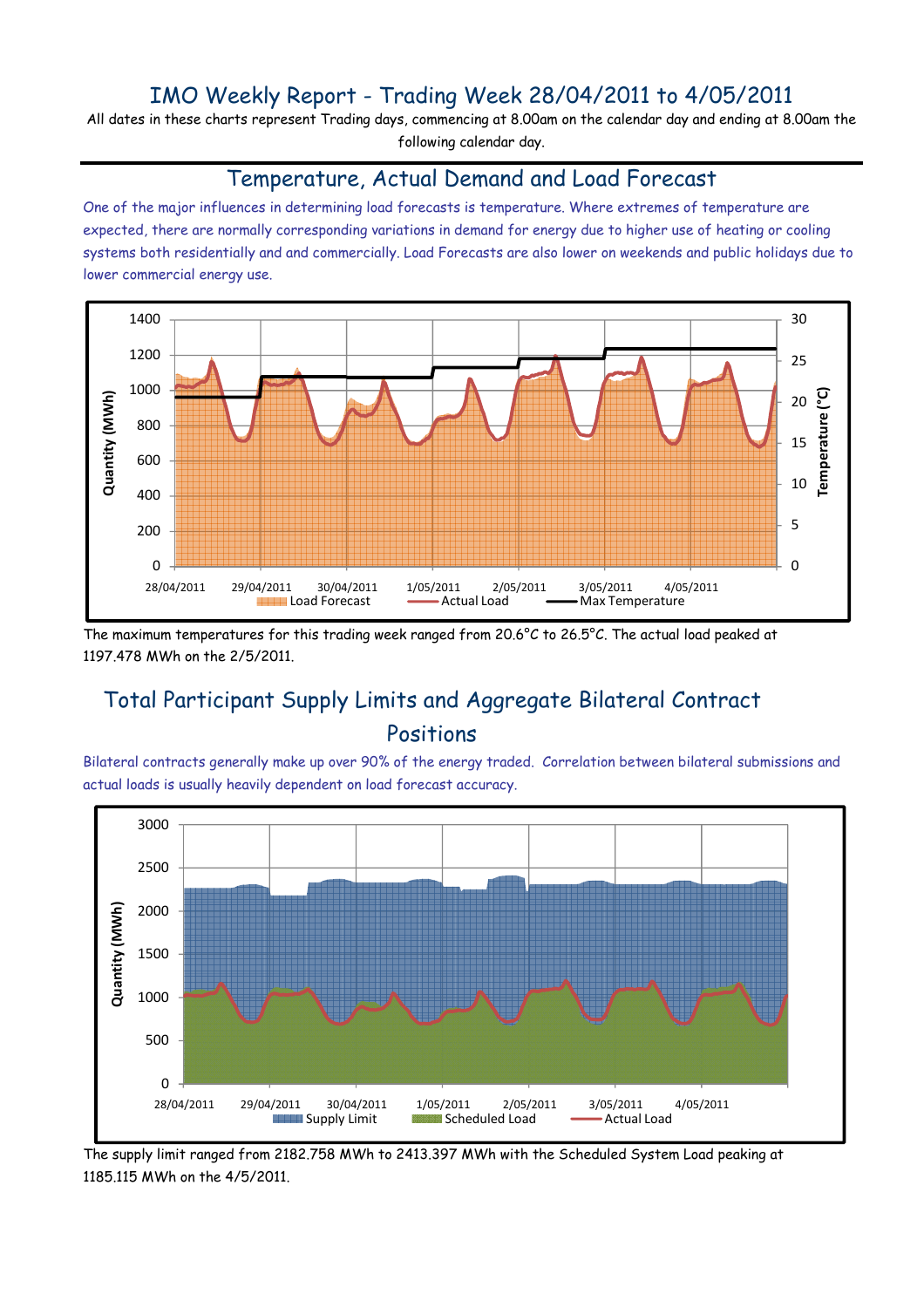### IMO Weekly Report - Trading Week 28/04/2011 to 4/05/2011

All dates in these charts represent Trading days, commencing at 8.00am on the calendar day and ending at 8.00am the following calendar day.

#### Temperature, Actual Demand and Load Forecast

One of the major influences in determining load forecasts is temperature. Where extremes of temperature are expected, there are normally corresponding variations in demand for energy due to higher use of heating or cooling systems both residentially and and commercially. Load Forecasts are also lower on weekends and public holidays due to lower commercial energy use.



The maximum temperatures for this trading week ranged from 20.6°C to 26.5°C. The actual load peaked at 1197.478 MWh on the 2/5/2011.

## Total Participant Supply Limits and Aggregate Bilateral Contract Positions

Bilateral contracts generally make up over 90% of the energy traded. Correlation between bilateral submissions and actual loads is usually heavily dependent on load forecast accuracy.



The supply limit ranged from 2182.758 MWh to 2413.397 MWh with the Scheduled System Load peaking at 1185.115 MWh on the 4/5/2011.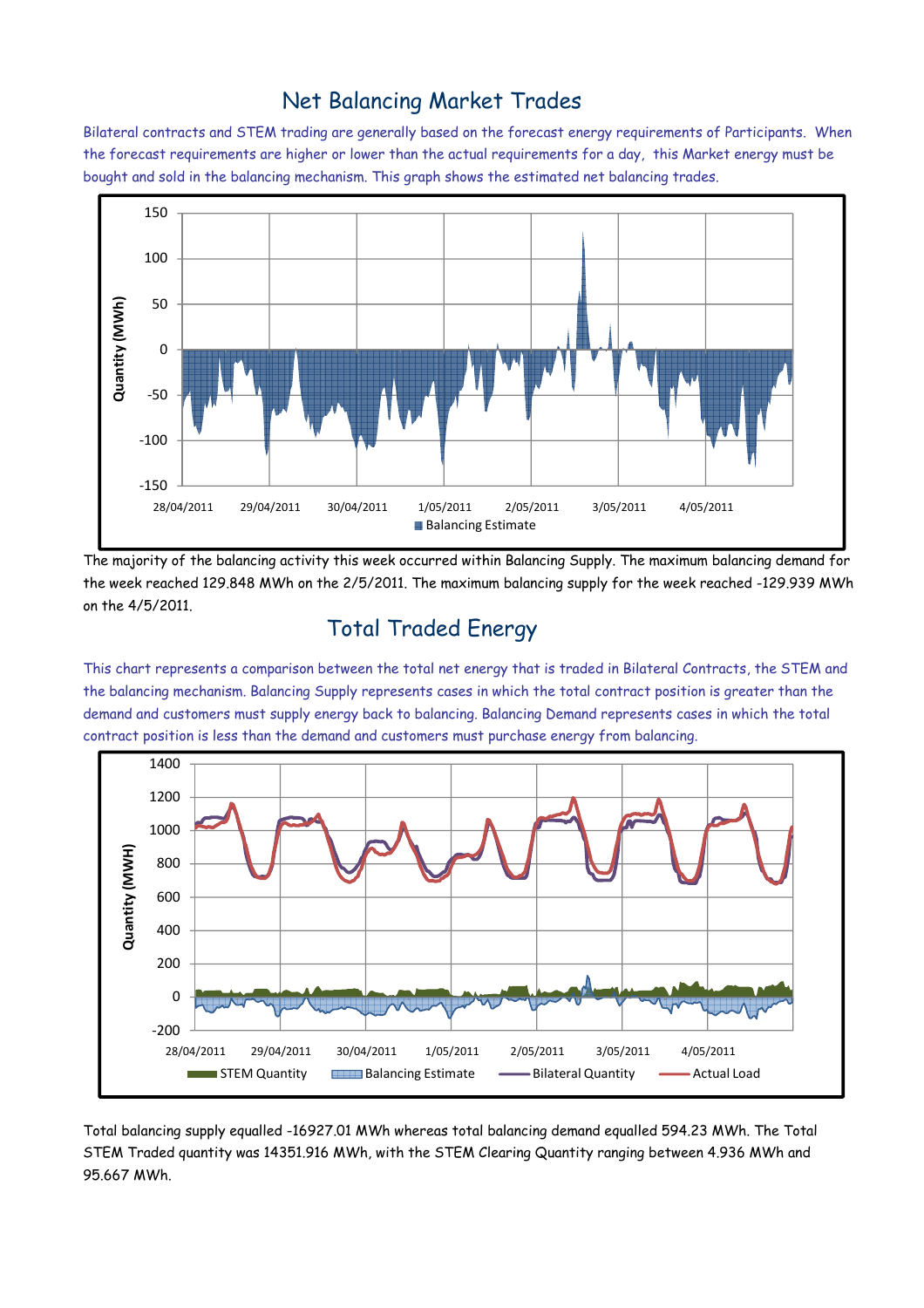### Net Balancing Market Trades

Bilateral contracts and STEM trading are generally based on the forecast energy requirements of Participants. When the forecast requirements are higher or lower than the actual requirements for a day, this Market energy must be bought and sold in the balancing mechanism. This graph shows the estimated net balancing trades.



The majority of the balancing activity this week occurred within Balancing Supply. The maximum balancing demand for the week reached 129.848 MWh on the 2/5/2011. The maximum balancing supply for the week reached -129.939 MWh on the 4/5/2011.

# Total Traded Energy

This chart represents a comparison between the total net energy that is traded in Bilateral Contracts, the STEM and the balancing mechanism. Balancing Supply represents cases in which the total contract position is greater than the demand and customers must supply energy back to balancing. Balancing Demand represents cases in which the total contract position is less than the demand and customers must purchase energy from balancing.



Total balancing supply equalled -16927.01 MWh whereas total balancing demand equalled 594.23 MWh. The Total STEM Traded quantity was 14351.916 MWh, with the STEM Clearing Quantity ranging between 4.936 MWh and 95.667 MWh.